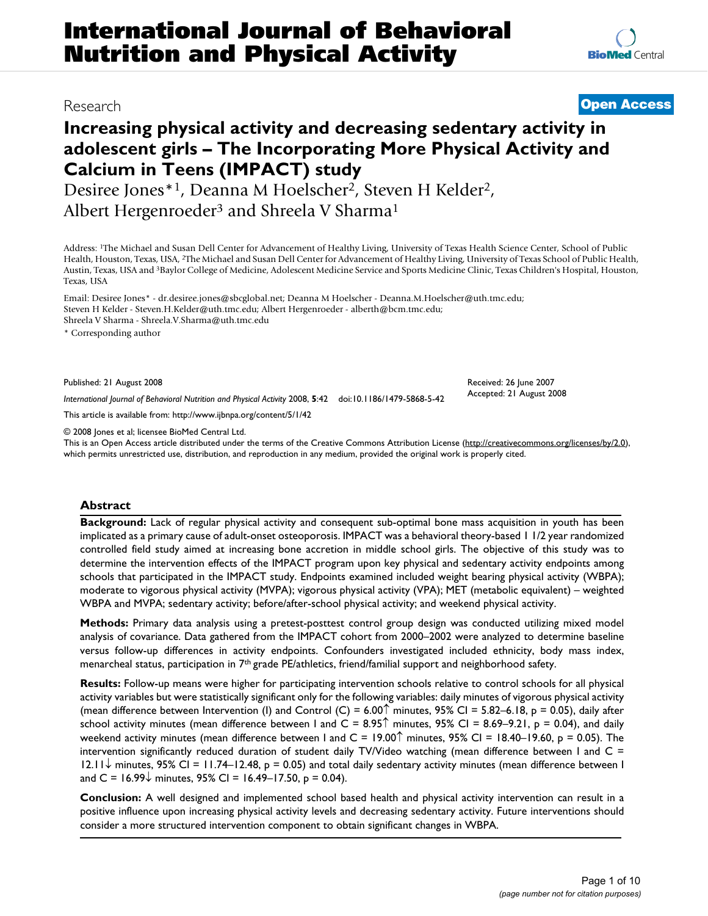# **Increasing physical activity and decreasing sedentary activity in adolescent girls – The Incorporating More Physical Activity and Calcium in Teens (IMPACT) study**

Desiree Jones\*<sup>1</sup>, Deanna M Hoelscher<sup>2</sup>, Steven H Kelder<sup>2</sup>, Albert Hergenroeder<sup>3</sup> and Shreela V Sharma<sup>1</sup>

Address: 1The Michael and Susan Dell Center for Advancement of Healthy Living, University of Texas Health Science Center, School of Public Health, Houston, Texas, USA, 2The Michael and Susan Dell Center for Advancement of Healthy Living, University of Texas School of Public Health, Austin, Texas, USA and 3Baylor College of Medicine, Adolescent Medicine Service and Sports Medicine Clinic, Texas Children's Hospital, Houston, Texas, USA

Email: Desiree Jones\* - dr.desiree.jones@sbcglobal.net; Deanna M Hoelscher - Deanna.M.Hoelscher@uth.tmc.edu; Steven H Kelder - Steven.H.Kelder@uth.tmc.edu; Albert Hergenroeder - alberth@bcm.tmc.edu; Shreela V Sharma - Shreela.V.Sharma@uth.tmc.edu

\* Corresponding author

Published: 21 August 2008

*International Journal of Behavioral Nutrition and Physical Activity* 2008, **5**:42 doi:10.1186/1479-5868-5-42

[This article is available from: http://www.ijbnpa.org/content/5/1/42](http://www.ijbnpa.org/content/5/1/42)

© 2008 Jones et al; licensee BioMed Central Ltd.

This is an Open Access article distributed under the terms of the Creative Commons Attribution License [\(http://creativecommons.org/licenses/by/2.0\)](http://creativecommons.org/licenses/by/2.0), which permits unrestricted use, distribution, and reproduction in any medium, provided the original work is properly cited.

### **Abstract**

**Background:** Lack of regular physical activity and consequent sub-optimal bone mass acquisition in youth has been implicated as a primary cause of adult-onset osteoporosis. IMPACT was a behavioral theory-based 1 1/2 year randomized controlled field study aimed at increasing bone accretion in middle school girls. The objective of this study was to determine the intervention effects of the IMPACT program upon key physical and sedentary activity endpoints among schools that participated in the IMPACT study. Endpoints examined included weight bearing physical activity (WBPA); moderate to vigorous physical activity (MVPA); vigorous physical activity (VPA); MET (metabolic equivalent) – weighted WBPA and MVPA; sedentary activity; before/after-school physical activity; and weekend physical activity.

**Methods:** Primary data analysis using a pretest-posttest control group design was conducted utilizing mixed model analysis of covariance. Data gathered from the IMPACT cohort from 2000–2002 were analyzed to determine baseline versus follow-up differences in activity endpoints. Confounders investigated included ethnicity, body mass index, menarcheal status, participation in 7th grade PE/athletics, friend/familial support and neighborhood safety.

**Results:** Follow-up means were higher for participating intervention schools relative to control schools for all physical activity variables but were statistically significant only for the following variables: daily minutes of vigorous physical activity (mean difference between Intervention (I) and Control (C) = 6.00 $\uparrow$  minutes, 95% CI = 5.82–6.18, p = 0.05), daily after school activity minutes (mean difference between I and C = 8.95 $\uparrow$  minutes, 95% CI = 8.69–9.21, p = 0.04), and daily weekend activity minutes (mean difference between I and  $C = 19.00\hat{\uparrow}$  minutes, 95% CI = 18.40–19.60, p = 0.05). The intervention significantly reduced duration of student daily TV/Video watching (mean difference between I and  $C =$ 12.11↓ minutes, 95% CI = 11.74–12.48, p = 0.05) and total daily sedentary activity minutes (mean difference between I and C = 16.99↓ minutes, 95% CI = 16.49–17.50, p = 0.04).

**Conclusion:** A well designed and implemented school based health and physical activity intervention can result in a positive influence upon increasing physical activity levels and decreasing sedentary activity. Future interventions should consider a more structured intervention component to obtain significant changes in WBPA.

Research **[Open Access](http://www.biomedcentral.com/info/about/charter/)**

Received: 26 June 2007 Accepted: 21 August 2008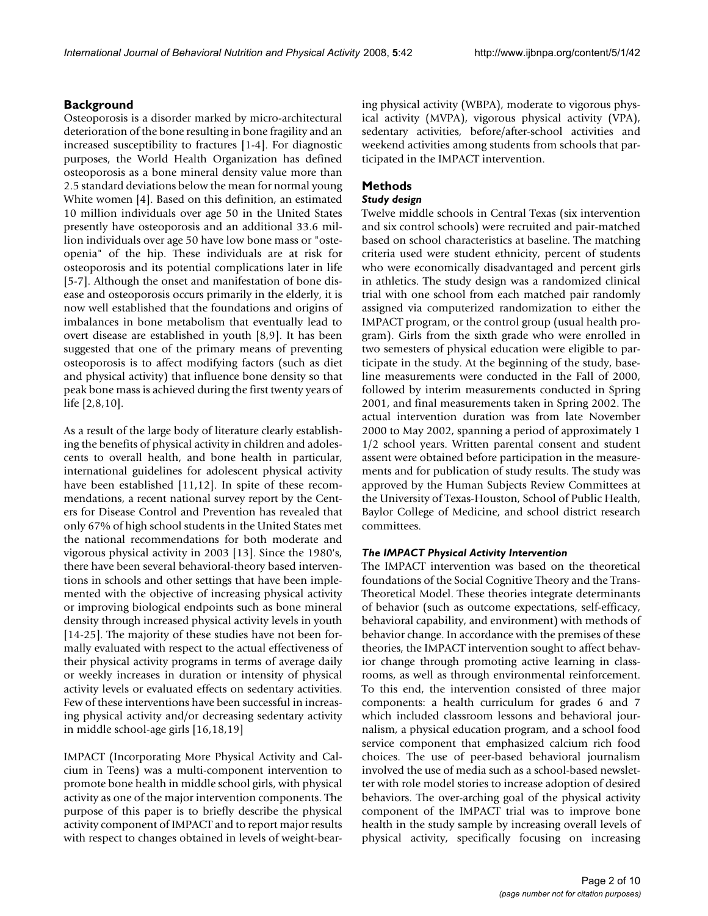## **Background**

Osteoporosis is a disorder marked by micro-architectural deterioration of the bone resulting in bone fragility and an increased susceptibility to fractures [1-4]. For diagnostic purposes, the World Health Organization has defined osteoporosis as a bone mineral density value more than 2.5 standard deviations below the mean for normal young White women [4]. Based on this definition, an estimated 10 million individuals over age 50 in the United States presently have osteoporosis and an additional 33.6 million individuals over age 50 have low bone mass or "osteopenia" of the hip. These individuals are at risk for osteoporosis and its potential complications later in life [5-7]. Although the onset and manifestation of bone disease and osteoporosis occurs primarily in the elderly, it is now well established that the foundations and origins of imbalances in bone metabolism that eventually lead to overt disease are established in youth [8,9]. It has been suggested that one of the primary means of preventing osteoporosis is to affect modifying factors (such as diet and physical activity) that influence bone density so that peak bone mass is achieved during the first twenty years of life [2,8,10].

As a result of the large body of literature clearly establishing the benefits of physical activity in children and adolescents to overall health, and bone health in particular, international guidelines for adolescent physical activity have been established [11,12]. In spite of these recommendations, a recent national survey report by the Centers for Disease Control and Prevention has revealed that only 67% of high school students in the United States met the national recommendations for both moderate and vigorous physical activity in 2003 [13]. Since the 1980's, there have been several behavioral-theory based interventions in schools and other settings that have been implemented with the objective of increasing physical activity or improving biological endpoints such as bone mineral density through increased physical activity levels in youth [14-25]. The majority of these studies have not been formally evaluated with respect to the actual effectiveness of their physical activity programs in terms of average daily or weekly increases in duration or intensity of physical activity levels or evaluated effects on sedentary activities. Few of these interventions have been successful in increasing physical activity and/or decreasing sedentary activity in middle school-age girls [16,18,19]

IMPACT (Incorporating More Physical Activity and Calcium in Teens) was a multi-component intervention to promote bone health in middle school girls, with physical activity as one of the major intervention components. The purpose of this paper is to briefly describe the physical activity component of IMPACT and to report major results with respect to changes obtained in levels of weight-bearing physical activity (WBPA), moderate to vigorous physical activity (MVPA), vigorous physical activity (VPA), sedentary activities, before/after-school activities and weekend activities among students from schools that participated in the IMPACT intervention.

# **Methods**

#### *Study design*

Twelve middle schools in Central Texas (six intervention and six control schools) were recruited and pair-matched based on school characteristics at baseline. The matching criteria used were student ethnicity, percent of students who were economically disadvantaged and percent girls in athletics. The study design was a randomized clinical trial with one school from each matched pair randomly assigned via computerized randomization to either the IMPACT program, or the control group (usual health program). Girls from the sixth grade who were enrolled in two semesters of physical education were eligible to participate in the study. At the beginning of the study, baseline measurements were conducted in the Fall of 2000, followed by interim measurements conducted in Spring 2001, and final measurements taken in Spring 2002. The actual intervention duration was from late November 2000 to May 2002, spanning a period of approximately 1 1/2 school years. Written parental consent and student assent were obtained before participation in the measurements and for publication of study results. The study was approved by the Human Subjects Review Committees at the University of Texas-Houston, School of Public Health, Baylor College of Medicine, and school district research committees.

### *The IMPACT Physical Activity Intervention*

The IMPACT intervention was based on the theoretical foundations of the Social Cognitive Theory and the Trans-Theoretical Model. These theories integrate determinants of behavior (such as outcome expectations, self-efficacy, behavioral capability, and environment) with methods of behavior change. In accordance with the premises of these theories, the IMPACT intervention sought to affect behavior change through promoting active learning in classrooms, as well as through environmental reinforcement. To this end, the intervention consisted of three major components: a health curriculum for grades 6 and 7 which included classroom lessons and behavioral journalism, a physical education program, and a school food service component that emphasized calcium rich food choices. The use of peer-based behavioral journalism involved the use of media such as a school-based newsletter with role model stories to increase adoption of desired behaviors. The over-arching goal of the physical activity component of the IMPACT trial was to improve bone health in the study sample by increasing overall levels of physical activity, specifically focusing on increasing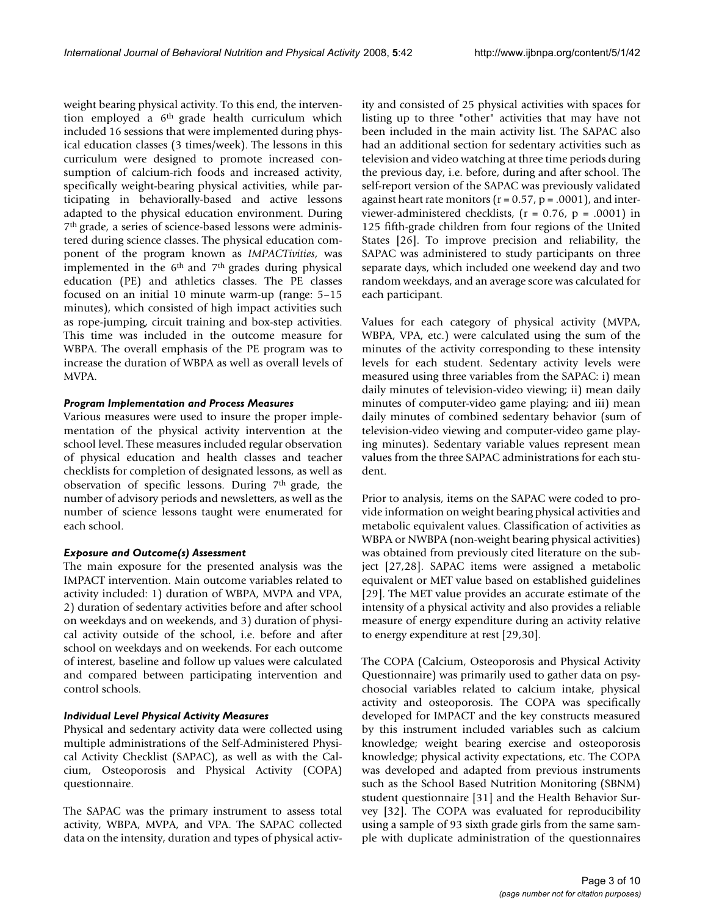weight bearing physical activity. To this end, the intervention employed a 6th grade health curriculum which included 16 sessions that were implemented during physical education classes (3 times/week). The lessons in this curriculum were designed to promote increased consumption of calcium-rich foods and increased activity, specifically weight-bearing physical activities, while participating in behaviorally-based and active lessons adapted to the physical education environment. During 7th grade, a series of science-based lessons were administered during science classes. The physical education component of the program known as *IMPACTivities*, was implemented in the 6th and 7th grades during physical education (PE) and athletics classes. The PE classes focused on an initial 10 minute warm-up (range: 5–15 minutes), which consisted of high impact activities such as rope-jumping, circuit training and box-step activities. This time was included in the outcome measure for WBPA. The overall emphasis of the PE program was to increase the duration of WBPA as well as overall levels of MVPA.

#### *Program Implementation and Process Measures*

Various measures were used to insure the proper implementation of the physical activity intervention at the school level. These measures included regular observation of physical education and health classes and teacher checklists for completion of designated lessons, as well as observation of specific lessons. During 7th grade, the number of advisory periods and newsletters, as well as the number of science lessons taught were enumerated for each school.

### *Exposure and Outcome(s) Assessment*

The main exposure for the presented analysis was the IMPACT intervention. Main outcome variables related to activity included: 1) duration of WBPA, MVPA and VPA, 2) duration of sedentary activities before and after school on weekdays and on weekends, and 3) duration of physical activity outside of the school, i.e. before and after school on weekdays and on weekends. For each outcome of interest, baseline and follow up values were calculated and compared between participating intervention and control schools.

### *Individual Level Physical Activity Measures*

Physical and sedentary activity data were collected using multiple administrations of the Self-Administered Physical Activity Checklist (SAPAC), as well as with the Calcium, Osteoporosis and Physical Activity (COPA) questionnaire.

The SAPAC was the primary instrument to assess total activity, WBPA, MVPA, and VPA. The SAPAC collected data on the intensity, duration and types of physical activity and consisted of 25 physical activities with spaces for listing up to three "other" activities that may have not been included in the main activity list. The SAPAC also had an additional section for sedentary activities such as television and video watching at three time periods during the previous day, i.e. before, during and after school. The self-report version of the SAPAC was previously validated against heart rate monitors ( $r = 0.57$ ,  $p = .0001$ ), and interviewer-administered checklists,  $(r = 0.76, p = .0001)$  in 125 fifth-grade children from four regions of the United States [26]. To improve precision and reliability, the SAPAC was administered to study participants on three separate days, which included one weekend day and two random weekdays, and an average score was calculated for each participant.

Values for each category of physical activity (MVPA, WBPA, VPA, etc.) were calculated using the sum of the minutes of the activity corresponding to these intensity levels for each student. Sedentary activity levels were measured using three variables from the SAPAC: i) mean daily minutes of television-video viewing; ii) mean daily minutes of computer-video game playing; and iii) mean daily minutes of combined sedentary behavior (sum of television-video viewing and computer-video game playing minutes). Sedentary variable values represent mean values from the three SAPAC administrations for each student.

Prior to analysis, items on the SAPAC were coded to provide information on weight bearing physical activities and metabolic equivalent values. Classification of activities as WBPA or NWBPA (non-weight bearing physical activities) was obtained from previously cited literature on the subject [27,28]. SAPAC items were assigned a metabolic equivalent or MET value based on established guidelines [29]. The MET value provides an accurate estimate of the intensity of a physical activity and also provides a reliable measure of energy expenditure during an activity relative to energy expenditure at rest [29,30].

The COPA (Calcium, Osteoporosis and Physical Activity Questionnaire) was primarily used to gather data on psychosocial variables related to calcium intake, physical activity and osteoporosis. The COPA was specifically developed for IMPACT and the key constructs measured by this instrument included variables such as calcium knowledge; weight bearing exercise and osteoporosis knowledge; physical activity expectations, etc. The COPA was developed and adapted from previous instruments such as the School Based Nutrition Monitoring (SBNM) student questionnaire [31] and the Health Behavior Survey [32]. The COPA was evaluated for reproducibility using a sample of 93 sixth grade girls from the same sample with duplicate administration of the questionnaires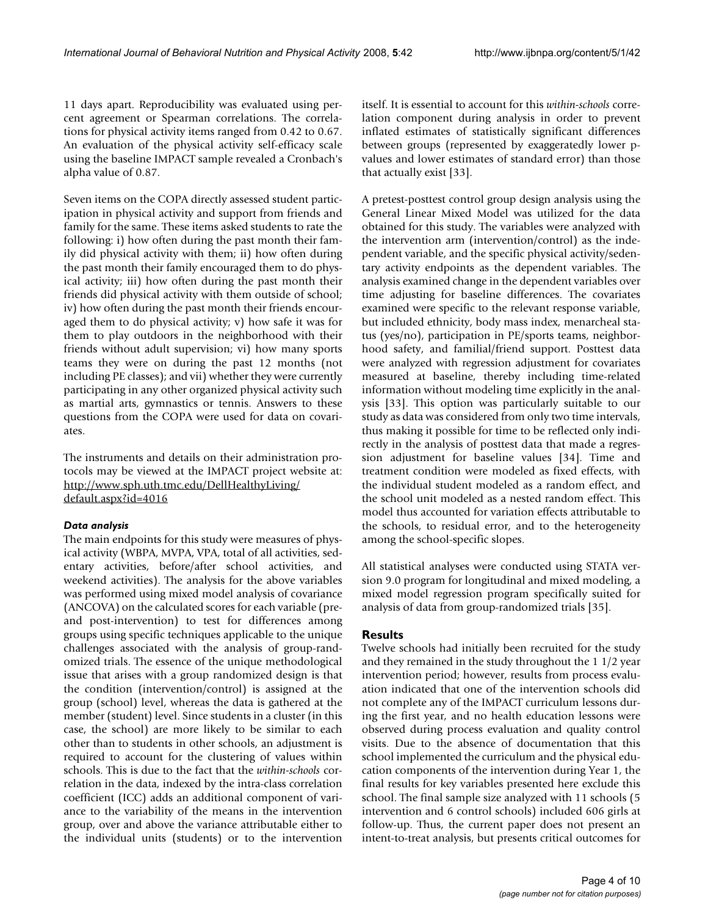11 days apart. Reproducibility was evaluated using percent agreement or Spearman correlations. The correlations for physical activity items ranged from 0.42 to 0.67. An evaluation of the physical activity self-efficacy scale using the baseline IMPACT sample revealed a Cronbach's alpha value of 0.87.

Seven items on the COPA directly assessed student participation in physical activity and support from friends and family for the same. These items asked students to rate the following: i) how often during the past month their family did physical activity with them; ii) how often during the past month their family encouraged them to do physical activity; iii) how often during the past month their friends did physical activity with them outside of school; iv) how often during the past month their friends encouraged them to do physical activity; v) how safe it was for them to play outdoors in the neighborhood with their friends without adult supervision; vi) how many sports teams they were on during the past 12 months (not including PE classes); and vii) whether they were currently participating in any other organized physical activity such as martial arts, gymnastics or tennis. Answers to these questions from the COPA were used for data on covariates.

The instruments and details on their administration protocols may be viewed at the IMPACT project website at: [http://www.sph.uth.tmc.edu/DellHealthyLiving/](http://www.sph.uth.tmc.edu/DellHealthyLiving/default.aspx?id=4016) [default.aspx?id=4016](http://www.sph.uth.tmc.edu/DellHealthyLiving/default.aspx?id=4016)

### *Data analysis*

The main endpoints for this study were measures of physical activity (WBPA, MVPA, VPA, total of all activities, sedentary activities, before/after school activities, and weekend activities). The analysis for the above variables was performed using mixed model analysis of covariance (ANCOVA) on the calculated scores for each variable (preand post-intervention) to test for differences among groups using specific techniques applicable to the unique challenges associated with the analysis of group-randomized trials. The essence of the unique methodological issue that arises with a group randomized design is that the condition (intervention/control) is assigned at the group (school) level, whereas the data is gathered at the member (student) level. Since students in a cluster (in this case, the school) are more likely to be similar to each other than to students in other schools, an adjustment is required to account for the clustering of values within schools. This is due to the fact that the *within-schools* correlation in the data, indexed by the intra-class correlation coefficient (ICC) adds an additional component of variance to the variability of the means in the intervention group, over and above the variance attributable either to the individual units (students) or to the intervention

itself. It is essential to account for this *within-schools* correlation component during analysis in order to prevent inflated estimates of statistically significant differences between groups (represented by exaggeratedly lower pvalues and lower estimates of standard error) than those that actually exist [33].

A pretest-posttest control group design analysis using the General Linear Mixed Model was utilized for the data obtained for this study. The variables were analyzed with the intervention arm (intervention/control) as the independent variable, and the specific physical activity/sedentary activity endpoints as the dependent variables. The analysis examined change in the dependent variables over time adjusting for baseline differences. The covariates examined were specific to the relevant response variable, but included ethnicity, body mass index, menarcheal status (yes/no), participation in PE/sports teams, neighborhood safety, and familial/friend support. Posttest data were analyzed with regression adjustment for covariates measured at baseline, thereby including time-related information without modeling time explicitly in the analysis [33]. This option was particularly suitable to our study as data was considered from only two time intervals, thus making it possible for time to be reflected only indirectly in the analysis of posttest data that made a regression adjustment for baseline values [34]. Time and treatment condition were modeled as fixed effects, with the individual student modeled as a random effect, and the school unit modeled as a nested random effect. This model thus accounted for variation effects attributable to the schools, to residual error, and to the heterogeneity among the school-specific slopes.

All statistical analyses were conducted using STATA version 9.0 program for longitudinal and mixed modeling, a mixed model regression program specifically suited for analysis of data from group-randomized trials [35].

# **Results**

Twelve schools had initially been recruited for the study and they remained in the study throughout the 1 1/2 year intervention period; however, results from process evaluation indicated that one of the intervention schools did not complete any of the IMPACT curriculum lessons during the first year, and no health education lessons were observed during process evaluation and quality control visits. Due to the absence of documentation that this school implemented the curriculum and the physical education components of the intervention during Year 1, the final results for key variables presented here exclude this school. The final sample size analyzed with 11 schools (5 intervention and 6 control schools) included 606 girls at follow-up. Thus, the current paper does not present an intent-to-treat analysis, but presents critical outcomes for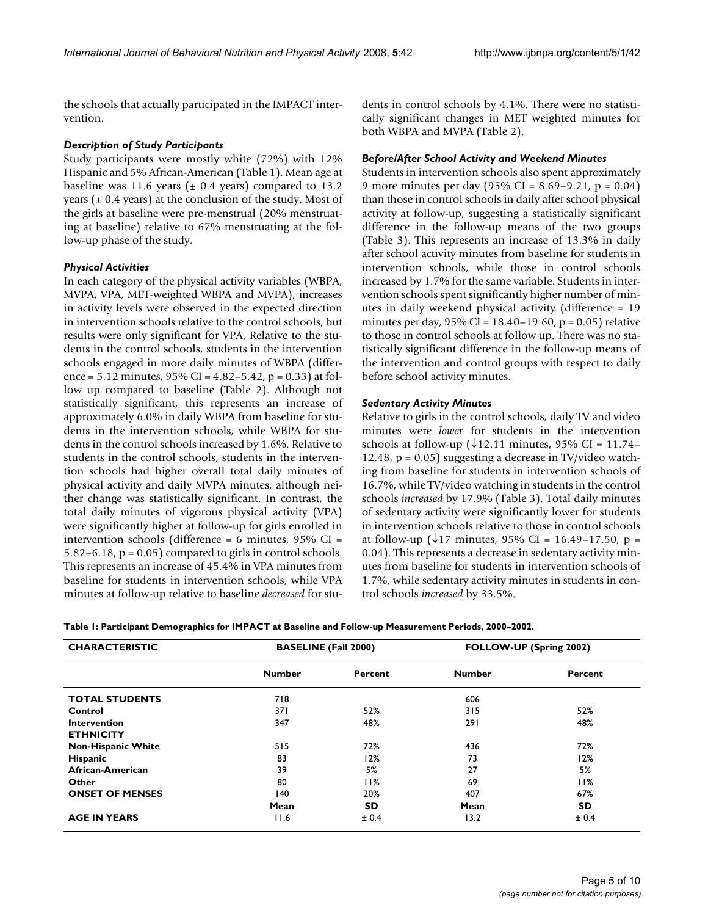the schools that actually participated in the IMPACT intervention.

#### *Description of Study Participants*

Study participants were mostly white (72%) with 12% Hispanic and 5% African-American (Table 1). Mean age at baseline was 11.6 years ( $\pm$  0.4 years) compared to 13.2 years ( $\pm$  0.4 years) at the conclusion of the study. Most of the girls at baseline were pre-menstrual (20% menstruating at baseline) relative to 67% menstruating at the follow-up phase of the study.

#### *Physical Activities*

In each category of the physical activity variables (WBPA, MVPA, VPA, MET-weighted WBPA and MVPA), increases in activity levels were observed in the expected direction in intervention schools relative to the control schools, but results were only significant for VPA. Relative to the students in the control schools, students in the intervention schools engaged in more daily minutes of WBPA (difference =  $5.12$  minutes,  $95\%$  CI =  $4.82 - 5.42$ , p = 0.33) at follow up compared to baseline (Table 2). Although not statistically significant, this represents an increase of approximately 6.0% in daily WBPA from baseline for students in the intervention schools, while WBPA for students in the control schools increased by 1.6%. Relative to students in the control schools, students in the intervention schools had higher overall total daily minutes of physical activity and daily MVPA minutes, although neither change was statistically significant. In contrast, the total daily minutes of vigorous physical activity (VPA) were significantly higher at follow-up for girls enrolled in intervention schools (difference = 6 minutes, 95% CI = 5.82–6.18,  $p = 0.05$  compared to girls in control schools. This represents an increase of 45.4% in VPA minutes from baseline for students in intervention schools, while VPA minutes at follow-up relative to baseline *decreased* for students in control schools by 4.1%. There were no statistically significant changes in MET weighted minutes for both WBPA and MVPA (Table 2).

#### *Before/After School Activity and Weekend Minutes*

Students in intervention schools also spent approximately 9 more minutes per day (95% CI = 8.69–9.21, p = 0.04) than those in control schools in daily after school physical activity at follow-up, suggesting a statistically significant difference in the follow-up means of the two groups (Table 3). This represents an increase of 13.3% in daily after school activity minutes from baseline for students in intervention schools, while those in control schools increased by 1.7% for the same variable. Students in intervention schools spent significantly higher number of minutes in daily weekend physical activity (difference = 19 minutes per day, 95% CI = 18.40–19.60, p = 0.05) relative to those in control schools at follow up. There was no statistically significant difference in the follow-up means of the intervention and control groups with respect to daily before school activity minutes.

#### *Sedentary Activity Minutes*

Relative to girls in the control schools, daily TV and video minutes were *lower* for students in the intervention schools at follow-up ( $\sqrt{12.11}$  minutes, 95% CI = 11.74– 12.48,  $p = 0.05$ ) suggesting a decrease in TV/video watching from baseline for students in intervention schools of 16.7%, while TV/video watching in students in the control schools *increased* by 17.9% (Table 3). Total daily minutes of sedentary activity were significantly lower for students in intervention schools relative to those in control schools at follow-up (↓17 minutes, 95% CI = 16.49–17.50, p = 0.04). This represents a decrease in sedentary activity minutes from baseline for students in intervention schools of 1.7%, while sedentary activity minutes in students in control schools *increased* by 33.5%.

| Table 1: Participant Demographics for IMPACT at Baseline and Follow-up Measurement Periods, 2000–2002. |  |  |  |  |
|--------------------------------------------------------------------------------------------------------|--|--|--|--|
|                                                                                                        |  |  |  |  |

| <b>CHARACTERISTIC</b>     | <b>BASELINE (Fall 2000)</b> |           | FOLLOW-UP (Spring 2002) |           |  |
|---------------------------|-----------------------------|-----------|-------------------------|-----------|--|
|                           | <b>Number</b>               | Percent   | <b>Number</b>           | Percent   |  |
| <b>TOTAL STUDENTS</b>     | 718                         |           | 606                     |           |  |
| Control                   | 371                         | 52%       | 315                     | 52%       |  |
| <b>Intervention</b>       | 347                         | 48%       | 291                     | 48%       |  |
| <b>ETHNICITY</b>          |                             |           |                         |           |  |
| <b>Non-Hispanic White</b> | 515                         | 72%       | 436                     | 72%       |  |
| <b>Hispanic</b>           | 83                          | 12%       | 73                      | 12%       |  |
| African-American          | 39                          | 5%        | 27                      | 5%        |  |
| Other                     | 80                          | 11%       | 69                      | 11%       |  |
| <b>ONSET OF MENSES</b>    | 140                         | 20%       | 407                     | 67%       |  |
|                           | Mean                        | <b>SD</b> | Mean                    | <b>SD</b> |  |
| <b>AGE IN YEARS</b>       | 11.6                        | ± 0.4     | 13.2                    | ± 0.4     |  |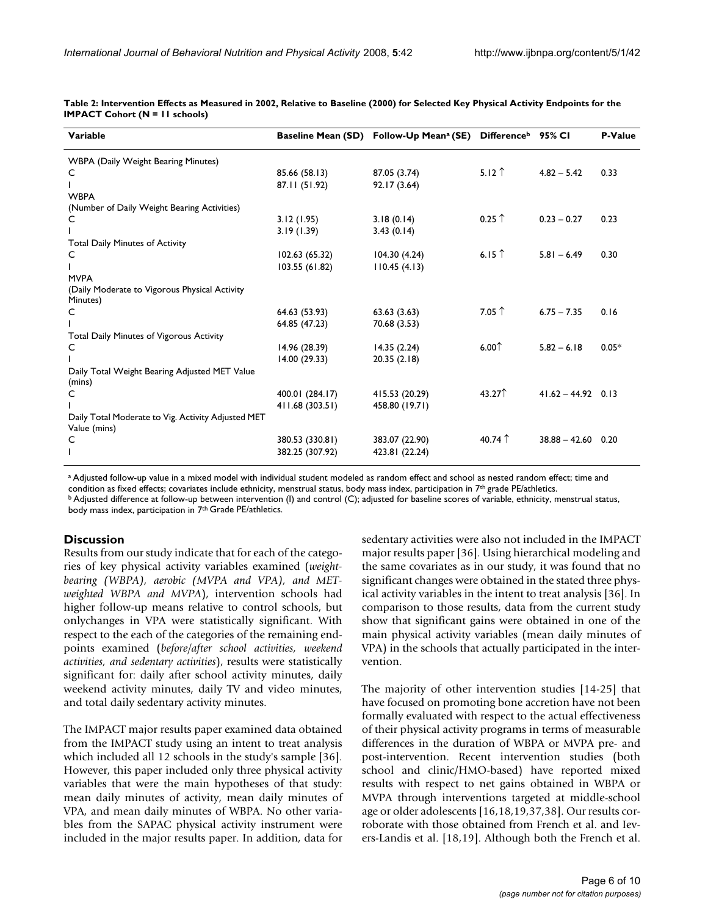| Variable                                                           |                 | Baseline Mean (SD) Follow-Up Mean <sup>a</sup> (SE) | Difference <sup>b</sup> 95% CI |                      | P-Value |
|--------------------------------------------------------------------|-----------------|-----------------------------------------------------|--------------------------------|----------------------|---------|
| <b>WBPA</b> (Daily Weight Bearing Minutes)                         |                 |                                                     |                                |                      |         |
| C                                                                  | 85.66 (58.13)   | 87.05 (3.74)                                        | $5.12$ $\uparrow$              | $4.82 - 5.42$        | 0.33    |
|                                                                    | 87.11 (51.92)   | 92.17 (3.64)                                        |                                |                      |         |
| <b>WBPA</b>                                                        |                 |                                                     |                                |                      |         |
| (Number of Daily Weight Bearing Activities)                        |                 |                                                     |                                |                      |         |
| C                                                                  | 3.12(1.95)      | 3.18(0.14)                                          | $0.25$ $\uparrow$              | $0.23 - 0.27$        | 0.23    |
|                                                                    | 3.19(1.39)      | 3.43(0.14)                                          |                                |                      |         |
| <b>Total Daily Minutes of Activity</b>                             |                 |                                                     |                                |                      |         |
| C                                                                  | 102.63 (65.32)  | 104.30(4.24)                                        | 6.15 $\uparrow$                | $5.81 - 6.49$        | 0.30    |
|                                                                    | 103.55 (61.82)  | 110.45(4.13)                                        |                                |                      |         |
| <b>MVPA</b>                                                        |                 |                                                     |                                |                      |         |
| (Daily Moderate to Vigorous Physical Activity                      |                 |                                                     |                                |                      |         |
| Minutes)                                                           |                 |                                                     |                                |                      |         |
| C                                                                  | 64.63 (53.93)   | 63.63(3.63)                                         | 7.05 $^$                       | $6.75 - 7.35$        | 0.16    |
|                                                                    | 64.85 (47.23)   | 70.68 (3.53)                                        |                                |                      |         |
| <b>Total Daily Minutes of Vigorous Activity</b>                    |                 |                                                     |                                |                      |         |
| C                                                                  | 14.96 (28.39)   | 14.35(2.24)                                         | $6.00^{\circ}$                 | $5.82 - 6.18$        | $0.05*$ |
|                                                                    | 14.00 (29.33)   | 20.35(2.18)                                         |                                |                      |         |
| Daily Total Weight Bearing Adjusted MET Value                      |                 |                                                     |                                |                      |         |
| (mins)                                                             |                 |                                                     |                                |                      |         |
| C                                                                  | 400.01 (284.17) | 415.53 (20.29)                                      | 43.27                          | $41.62 - 44.92$ 0.13 |         |
|                                                                    | 411.68 (303.51) | 458.80 (19.71)                                      |                                |                      |         |
| Daily Total Moderate to Vig. Activity Adjusted MET<br>Value (mins) |                 |                                                     |                                |                      |         |
| C                                                                  | 380.53 (330.81) | 383.07 (22.90)                                      | 40.74 $\uparrow$               | $38.88 - 42.60$      | 0.20    |
|                                                                    | 382.25 (307.92) | 423.81 (22.24)                                      |                                |                      |         |

**Table 2: Intervention Effects as Measured in 2002, Relative to Baseline (2000) for Selected Key Physical Activity Endpoints for the IMPACT Cohort (N = 11 schools)**

a Adjusted follow-up value in a mixed model with individual student modeled as random effect and school as nested random effect; time and condition as fixed effects; covariates include ethnicity, menstrual status, body mass index, participation in 7<sup>th</sup> grade PE/athletics.

b Adjusted difference at follow-up between intervention (I) and control (C); adjusted for baseline scores of variable, ethnicity, menstrual status, body mass index, participation in 7<sup>th</sup> Grade PE/athletics.

### **Discussion**

Results from our study indicate that for each of the categories of key physical activity variables examined (*weightbearing (WBPA), aerobic (MVPA and VPA), and METweighted WBPA and MVPA*), intervention schools had higher follow-up means relative to control schools, but onlychanges in VPA were statistically significant. With respect to the each of the categories of the remaining endpoints examined (*before/after school activities, weekend activities, and sedentary activities*), results were statistically significant for: daily after school activity minutes, daily weekend activity minutes, daily TV and video minutes, and total daily sedentary activity minutes.

The IMPACT major results paper examined data obtained from the IMPACT study using an intent to treat analysis which included all 12 schools in the study's sample [36]. However, this paper included only three physical activity variables that were the main hypotheses of that study: mean daily minutes of activity, mean daily minutes of VPA, and mean daily minutes of WBPA. No other variables from the SAPAC physical activity instrument were included in the major results paper. In addition, data for sedentary activities were also not included in the IMPACT major results paper [36]. Using hierarchical modeling and the same covariates as in our study, it was found that no significant changes were obtained in the stated three physical activity variables in the intent to treat analysis [36]. In comparison to those results, data from the current study show that significant gains were obtained in one of the main physical activity variables (mean daily minutes of VPA) in the schools that actually participated in the intervention.

The majority of other intervention studies [14-25] that have focused on promoting bone accretion have not been formally evaluated with respect to the actual effectiveness of their physical activity programs in terms of measurable differences in the duration of WBPA or MVPA pre- and post-intervention. Recent intervention studies (both school and clinic/HMO-based) have reported mixed results with respect to net gains obtained in WBPA or MVPA through interventions targeted at middle-school age or older adolescents [16,18,19,37,38]. Our results corroborate with those obtained from French et al. and Ievers-Landis et al. [18,19]. Although both the French et al.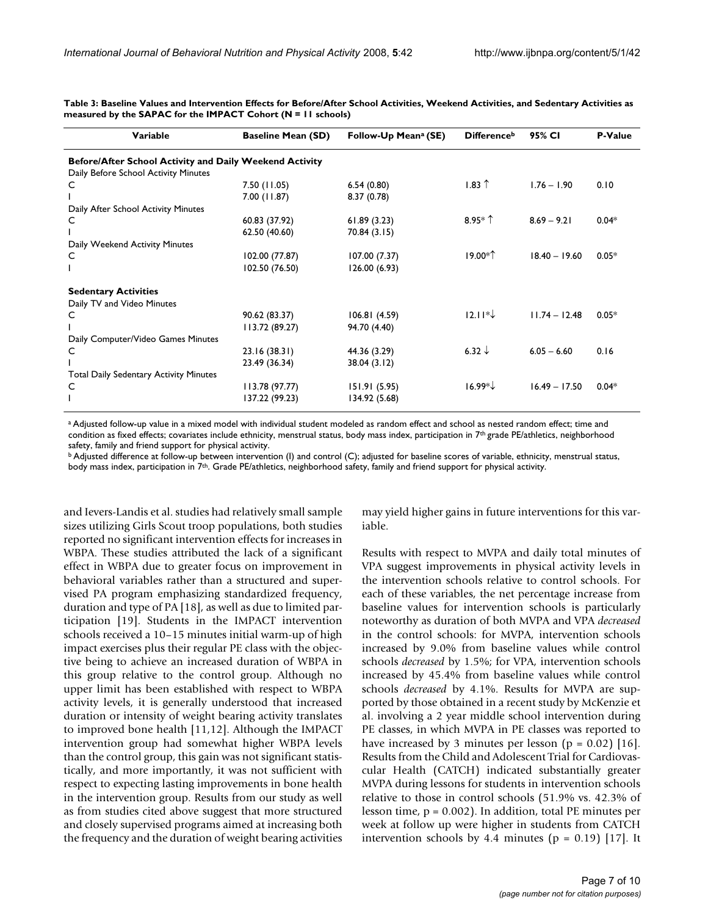| Variable                                                       | <b>Baseline Mean (SD)</b> | Follow-Up Mean <sup>a</sup> (SE) | <b>Difference</b> <sup>b</sup> | 95% CI          | P-Value |
|----------------------------------------------------------------|---------------------------|----------------------------------|--------------------------------|-----------------|---------|
| <b>Before/After School Activity and Daily Weekend Activity</b> |                           |                                  |                                |                 |         |
| Daily Before School Activity Minutes                           |                           |                                  |                                |                 |         |
| C                                                              | 7.50(11.05)               | 6.54(0.80)                       | $1.83$ $\uparrow$              | $1.76 - 1.90$   | 0.10    |
|                                                                | 7.00 (11.87)              | 8.37(0.78)                       |                                |                 |         |
| Daily After School Activity Minutes                            |                           |                                  |                                |                 |         |
| C                                                              | 60.83 (37.92)             | 61.89(3.23)                      | $8.95*$ $\uparrow$             | $8.69 - 9.21$   | $0.04*$ |
|                                                                | 62.50 (40.60)             | 70.84 (3.15)                     |                                |                 |         |
| Daily Weekend Activity Minutes                                 |                           |                                  |                                |                 |         |
| C                                                              | 102.00 (77.87)            | 107.00 (7.37)                    | $19.00*$                       | $18.40 - 19.60$ | $0.05*$ |
|                                                                | 102.50 (76.50)            | 126.00 (6.93)                    |                                |                 |         |
| <b>Sedentary Activities</b>                                    |                           |                                  |                                |                 |         |
| Daily TV and Video Minutes                                     |                           |                                  |                                |                 |         |
| C                                                              | 90.62 (83.37)             | 106.81(4.59)                     | $12.11*$                       | $11.74 - 12.48$ | $0.05*$ |
|                                                                | 113.72 (89.27)            | 94.70 (4.40)                     |                                |                 |         |
| Daily Computer/Video Games Minutes                             |                           |                                  |                                |                 |         |
| C                                                              | 23.16(38.31)              | 44.36 (3.29)                     | 6.32 $\downarrow$              | $6.05 - 6.60$   | 0.16    |
|                                                                | 23.49 (36.34)             | 38.04 (3.12)                     |                                |                 |         |
| <b>Total Daily Sedentary Activity Minutes</b>                  |                           |                                  |                                |                 |         |
| C                                                              | 113.78(97.77)             | 151.91 (5.95)                    | $16.99*↓$                      | $16.49 - 17.50$ | $0.04*$ |
|                                                                | 137.22 (99.23)            | 134.92 (5.68)                    |                                |                 |         |

**Table 3: Baseline Values and Intervention Effects for Before/After School Activities, Weekend Activities, and Sedentary Activities as measured by the SAPAC for the IMPACT Cohort (N = 11 schools)**

a Adjusted follow-up value in a mixed model with individual student modeled as random effect and school as nested random effect; time and condition as fixed effects; covariates include ethnicity, menstrual status, body mass index, participation in  $7<sup>th</sup>$  grade PE/athletics, neighborhood safety, family and friend support for physical activity.

b Adjusted difference at follow-up between intervention (I) and control (C); adjusted for baseline scores of variable, ethnicity, menstrual status, body mass index, participation in 7<sup>th</sup>. Grade PE/athletics, neighborhood safety, family and friend support for physical activity.

and Ievers-Landis et al. studies had relatively small sample sizes utilizing Girls Scout troop populations, both studies reported no significant intervention effects for increases in WBPA. These studies attributed the lack of a significant effect in WBPA due to greater focus on improvement in behavioral variables rather than a structured and supervised PA program emphasizing standardized frequency, duration and type of PA [18], as well as due to limited participation [19]. Students in the IMPACT intervention schools received a 10–15 minutes initial warm-up of high impact exercises plus their regular PE class with the objective being to achieve an increased duration of WBPA in this group relative to the control group. Although no upper limit has been established with respect to WBPA activity levels, it is generally understood that increased duration or intensity of weight bearing activity translates to improved bone health [11,12]. Although the IMPACT intervention group had somewhat higher WBPA levels than the control group, this gain was not significant statistically, and more importantly, it was not sufficient with respect to expecting lasting improvements in bone health in the intervention group. Results from our study as well as from studies cited above suggest that more structured and closely supervised programs aimed at increasing both the frequency and the duration of weight bearing activities

may yield higher gains in future interventions for this variable.

Results with respect to MVPA and daily total minutes of VPA suggest improvements in physical activity levels in the intervention schools relative to control schools. For each of these variables, the net percentage increase from baseline values for intervention schools is particularly noteworthy as duration of both MVPA and VPA *decreased* in the control schools: for MVPA, intervention schools increased by 9.0% from baseline values while control schools *decreased* by 1.5%; for VPA, intervention schools increased by 45.4% from baseline values while control schools *decreased* by 4.1%. Results for MVPA are supported by those obtained in a recent study by McKenzie et al. involving a 2 year middle school intervention during PE classes, in which MVPA in PE classes was reported to have increased by 3 minutes per lesson ( $p = 0.02$ ) [16]. Results from the Child and Adolescent Trial for Cardiovascular Health (CATCH) indicated substantially greater MVPA during lessons for students in intervention schools relative to those in control schools (51.9% vs. 42.3% of lesson time,  $p = 0.002$ ). In addition, total PE minutes per week at follow up were higher in students from CATCH intervention schools by 4.4 minutes ( $p = 0.19$ ) [17]. It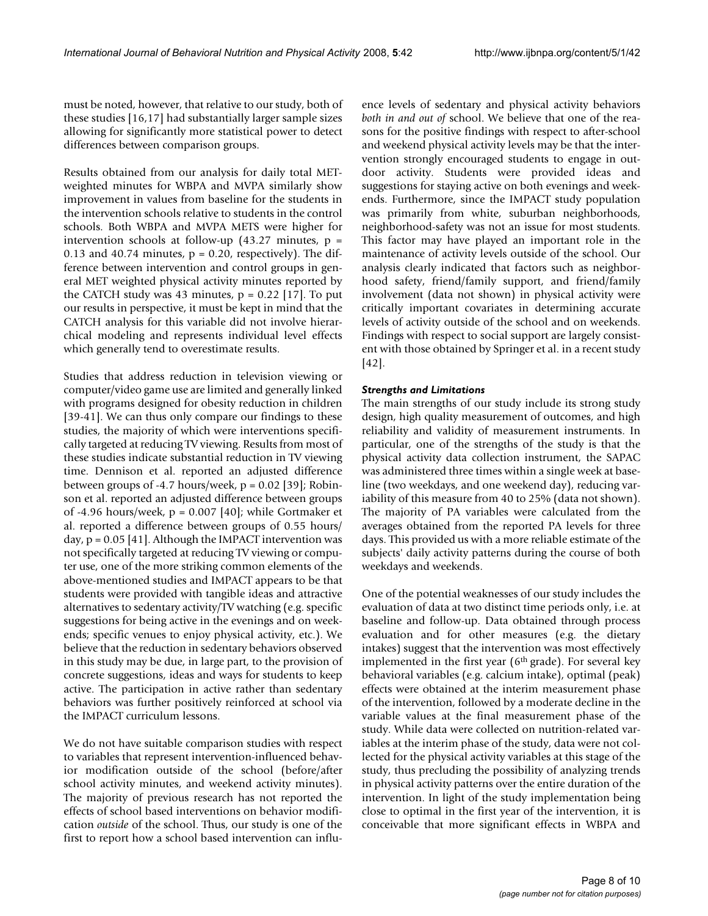must be noted, however, that relative to our study, both of these studies [16,17] had substantially larger sample sizes allowing for significantly more statistical power to detect differences between comparison groups.

Results obtained from our analysis for daily total METweighted minutes for WBPA and MVPA similarly show improvement in values from baseline for the students in the intervention schools relative to students in the control schools. Both WBPA and MVPA METS were higher for intervention schools at follow-up  $(43.27 \text{ minutes}, \text{p} =$ 0.13 and 40.74 minutes,  $p = 0.20$ , respectively). The difference between intervention and control groups in general MET weighted physical activity minutes reported by the CATCH study was 43 minutes,  $p = 0.22$  [17]. To put our results in perspective, it must be kept in mind that the CATCH analysis for this variable did not involve hierarchical modeling and represents individual level effects which generally tend to overestimate results.

Studies that address reduction in television viewing or computer/video game use are limited and generally linked with programs designed for obesity reduction in children [39-41]. We can thus only compare our findings to these studies, the majority of which were interventions specifically targeted at reducing TV viewing. Results from most of these studies indicate substantial reduction in TV viewing time. Dennison et al. reported an adjusted difference between groups of -4.7 hours/week, p = 0.02 [39]; Robinson et al. reported an adjusted difference between groups of -4.96 hours/week,  $p = 0.007$  [40]; while Gortmaker et al. reported a difference between groups of 0.55 hours/ day,  $p = 0.05$  [41]. Although the IMPACT intervention was not specifically targeted at reducing TV viewing or computer use, one of the more striking common elements of the above-mentioned studies and IMPACT appears to be that students were provided with tangible ideas and attractive alternatives to sedentary activity/TV watching (e.g. specific suggestions for being active in the evenings and on weekends; specific venues to enjoy physical activity, etc.). We believe that the reduction in sedentary behaviors observed in this study may be due, in large part, to the provision of concrete suggestions, ideas and ways for students to keep active. The participation in active rather than sedentary behaviors was further positively reinforced at school via the IMPACT curriculum lessons.

We do not have suitable comparison studies with respect to variables that represent intervention-influenced behavior modification outside of the school (before/after school activity minutes, and weekend activity minutes). The majority of previous research has not reported the effects of school based interventions on behavior modification *outside* of the school. Thus, our study is one of the first to report how a school based intervention can influence levels of sedentary and physical activity behaviors *both in and out of* school. We believe that one of the reasons for the positive findings with respect to after-school and weekend physical activity levels may be that the intervention strongly encouraged students to engage in outdoor activity. Students were provided ideas and suggestions for staying active on both evenings and weekends. Furthermore, since the IMPACT study population was primarily from white, suburban neighborhoods, neighborhood-safety was not an issue for most students. This factor may have played an important role in the maintenance of activity levels outside of the school. Our analysis clearly indicated that factors such as neighborhood safety, friend/family support, and friend/family involvement (data not shown) in physical activity were critically important covariates in determining accurate levels of activity outside of the school and on weekends. Findings with respect to social support are largely consistent with those obtained by Springer et al. in a recent study [42].

#### *Strengths and Limitations*

The main strengths of our study include its strong study design, high quality measurement of outcomes, and high reliability and validity of measurement instruments. In particular, one of the strengths of the study is that the physical activity data collection instrument, the SAPAC was administered three times within a single week at baseline (two weekdays, and one weekend day), reducing variability of this measure from 40 to 25% (data not shown). The majority of PA variables were calculated from the averages obtained from the reported PA levels for three days. This provided us with a more reliable estimate of the subjects' daily activity patterns during the course of both weekdays and weekends.

One of the potential weaknesses of our study includes the evaluation of data at two distinct time periods only, i.e. at baseline and follow-up. Data obtained through process evaluation and for other measures (e.g. the dietary intakes) suggest that the intervention was most effectively implemented in the first year  $(6<sup>th</sup> grade)$ . For several key behavioral variables (e.g. calcium intake), optimal (peak) effects were obtained at the interim measurement phase of the intervention, followed by a moderate decline in the variable values at the final measurement phase of the study. While data were collected on nutrition-related variables at the interim phase of the study, data were not collected for the physical activity variables at this stage of the study, thus precluding the possibility of analyzing trends in physical activity patterns over the entire duration of the intervention. In light of the study implementation being close to optimal in the first year of the intervention, it is conceivable that more significant effects in WBPA and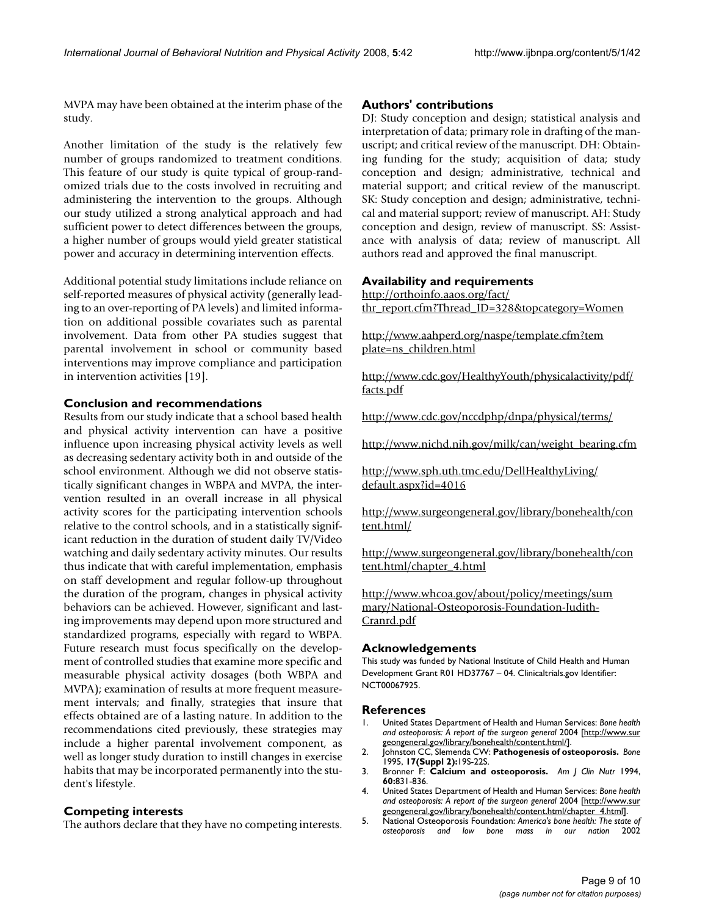MVPA may have been obtained at the interim phase of the study.

Another limitation of the study is the relatively few number of groups randomized to treatment conditions. This feature of our study is quite typical of group-randomized trials due to the costs involved in recruiting and administering the intervention to the groups. Although our study utilized a strong analytical approach and had sufficient power to detect differences between the groups, a higher number of groups would yield greater statistical power and accuracy in determining intervention effects.

Additional potential study limitations include reliance on self-reported measures of physical activity (generally leading to an over-reporting of PA levels) and limited information on additional possible covariates such as parental involvement. Data from other PA studies suggest that parental involvement in school or community based interventions may improve compliance and participation in intervention activities [19].

#### **Conclusion and recommendations**

Results from our study indicate that a school based health and physical activity intervention can have a positive influence upon increasing physical activity levels as well as decreasing sedentary activity both in and outside of the school environment. Although we did not observe statistically significant changes in WBPA and MVPA, the intervention resulted in an overall increase in all physical activity scores for the participating intervention schools relative to the control schools, and in a statistically significant reduction in the duration of student daily TV/Video watching and daily sedentary activity minutes. Our results thus indicate that with careful implementation, emphasis on staff development and regular follow-up throughout the duration of the program, changes in physical activity behaviors can be achieved. However, significant and lasting improvements may depend upon more structured and standardized programs, especially with regard to WBPA. Future research must focus specifically on the development of controlled studies that examine more specific and measurable physical activity dosages (both WBPA and MVPA); examination of results at more frequent measurement intervals; and finally, strategies that insure that effects obtained are of a lasting nature. In addition to the recommendations cited previously, these strategies may include a higher parental involvement component, as well as longer study duration to instill changes in exercise habits that may be incorporated permanently into the student's lifestyle.

### **Competing interests**

The authors declare that they have no competing interests.

#### **Authors' contributions**

DJ: Study conception and design; statistical analysis and interpretation of data; primary role in drafting of the manuscript; and critical review of the manuscript. DH: Obtaining funding for the study; acquisition of data; study conception and design; administrative, technical and material support; and critical review of the manuscript. SK: Study conception and design; administrative, technical and material support; review of manuscript. AH: Study conception and design, review of manuscript. SS: Assistance with analysis of data; review of manuscript. All authors read and approved the final manuscript.

#### **Availability and requirements**

http://orthoinfo.aaos.org/fact/ thr\_report.cfm?Thread\_ID=328&topcategory=Women

http://www.aahperd.org/naspe/template.cfm?tem plate=ns\_children.html

http://www.cdc.gov/HealthyYouth/physicalactivity/pdf/ facts.pdf

http://www.cdc.gov/nccdphp/dnpa/physical/terms/

http://www.nichd.nih.gov/milk/can/weight\_bearing.cfm

http://www.sph.uth.tmc.edu/DellHealthyLiving/ default.aspx?id=4016

http://www.surgeongeneral.gov/library/bonehealth/con tent.html/

http://www.surgeongeneral.gov/library/bonehealth/con tent.html/chapter\_4.html

http://www.whcoa.gov/about/policy/meetings/sum mary/National-Osteoporosis-Foundation-Judith-Cranrd.pdf

#### **Acknowledgements**

This study was funded by National Institute of Child Health and Human Development Grant R01 HD37767 – 04. Clinicaltrials.gov Identifier: NCT00067925.

#### **References**

1. United States Department of Health and Human Services: *Bone health and osteoporosis: A report of the surgeon general* 2004 [\[http://www.sur](http://www.surgeongeneral.gov/library/bonehealth/content.html/) [geongeneral.gov/library/bonehealth/content.html/](http://www.surgeongeneral.gov/library/bonehealth/content.html/)].

- 2. Johnston CC, Slemenda CW: **Pathogenesis of osteoporosis.** *Bone* 1995, **17(Suppl 2):**19S-22S.
- 3. Bronner F: **[Calcium and osteoporosis.](http://www.ncbi.nlm.nih.gov/entrez/query.fcgi?cmd=Retrieve&db=PubMed&dopt=Abstract&list_uids=7985620)** *Am J Clin Nutr* 1994, **60:**831-836.
- 4. United States Department of Health and Human Services: *Bone health and osteoporosis: A report of the surgeon general* 2004 [\[http://www.sur](http://www.surgeongeneral.gov/library/bonehealth/content.html/chapter_4.html) [geongeneral.gov/library/bonehealth/content.html/chapter\\_4.html](http://www.surgeongeneral.gov/library/bonehealth/content.html/chapter_4.html)].
- 5. National Osteoporosis Foundation: *America's bone health: The state of* osteoporosis and low bone mass in our nation